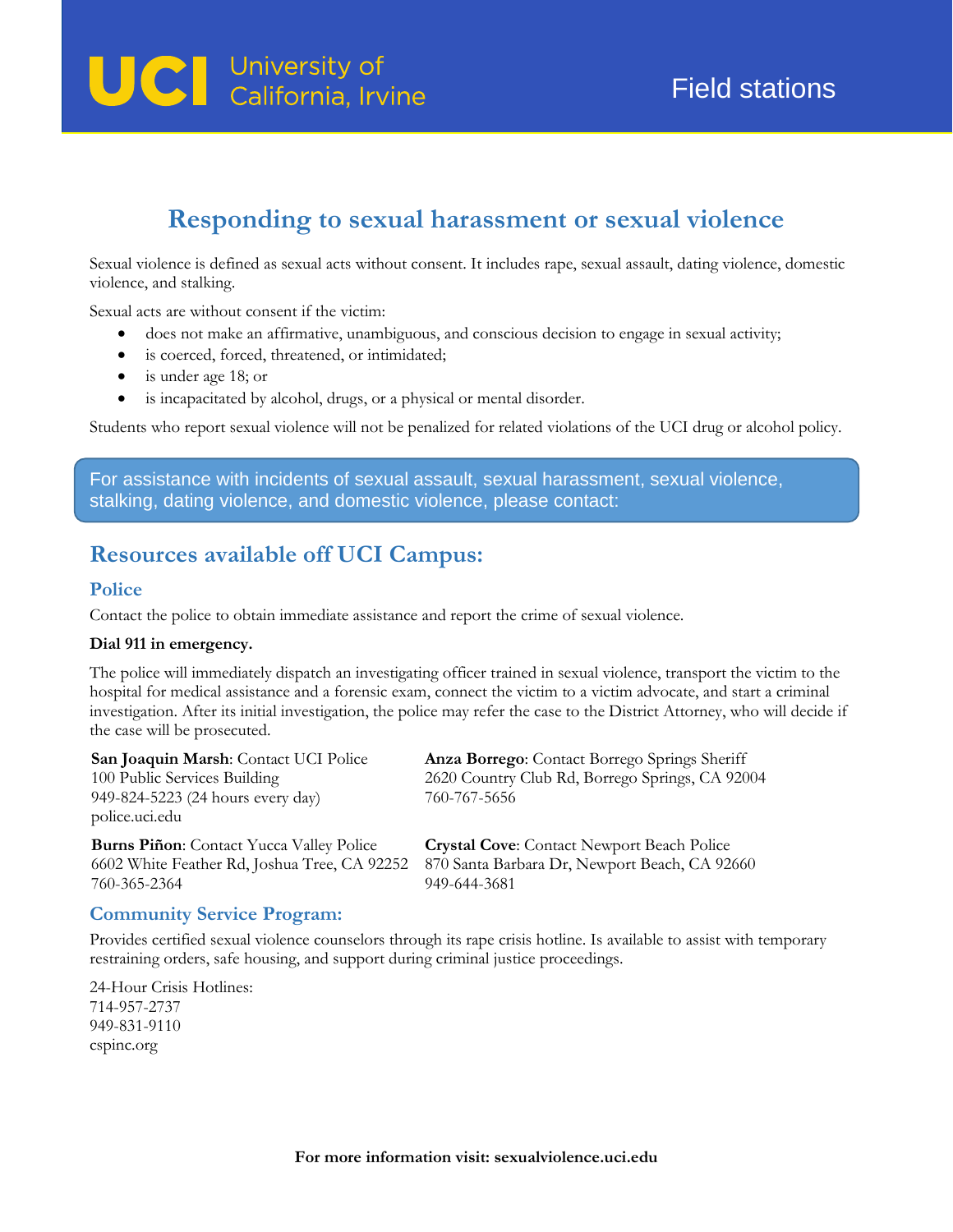# **UCI** University of<br>California, Irvine

# **Responding to sexual harassment or sexual violence**

Sexual violence is defined as sexual acts without consent. It includes rape, sexual assault, dating violence, domestic violence, and stalking.

Sexual acts are without consent if the victim:

- does not make an affirmative, unambiguous, and conscious decision to engage in sexual activity;
- is coerced, forced, threatened, or intimidated;
- is under age 18; or
- is incapacitated by alcohol, drugs, or a physical or mental disorder.

Students who report sexual violence will not be penalized for related violations of the UCI drug or alcohol policy.

For assistance with incidents of sexual assault, sexual harassment, sexual violence, stalking, dating violence, and domestic violence, please contact:

## **Resources available off UCI Campus:**

#### **Police**

Contact the police to obtain immediate assistance and report the crime of sexual violence.

#### **Dial 911 in emergency.**

The police will immediately dispatch an investigating officer trained in sexual violence, transport the victim to the hospital for medical assistance and a forensic exam, connect the victim to a victim advocate, and start a criminal investigation. After its initial investigation, the police may refer the case to the District Attorney, who will decide if the case will be prosecuted.

| San Joaquin Marsh: Contact UCI Police<br>100 Public Services Building<br>949-824-5223 (24 hours every day)<br>police.uci.edu | Anza Borrego: Contact Borrego Springs Sheriff<br>2620 Country Club Rd, Borrego Springs, CA 92004<br>760-767-5656 |
|------------------------------------------------------------------------------------------------------------------------------|------------------------------------------------------------------------------------------------------------------|
| <b>Burns Piñon:</b> Contact Yucca Valley Police                                                                              | <b>Crystal Cove:</b> Contact Newport Beach Police                                                                |
| 6602 White Feather Rd, Joshua Tree, CA 92252                                                                                 | 870 Santa Barbara Dr, Newport Beach, CA 92660                                                                    |
| 760-365-2364                                                                                                                 | 949-644-3681                                                                                                     |

#### **Community Service Program:**

Provides certified sexual violence counselors through its rape crisis hotline. Is available to assist with temporary restraining orders, safe housing, and support during criminal justice proceedings.

24-Hour Crisis Hotlines: 714-957-2737 949-831-9110 cspinc.org